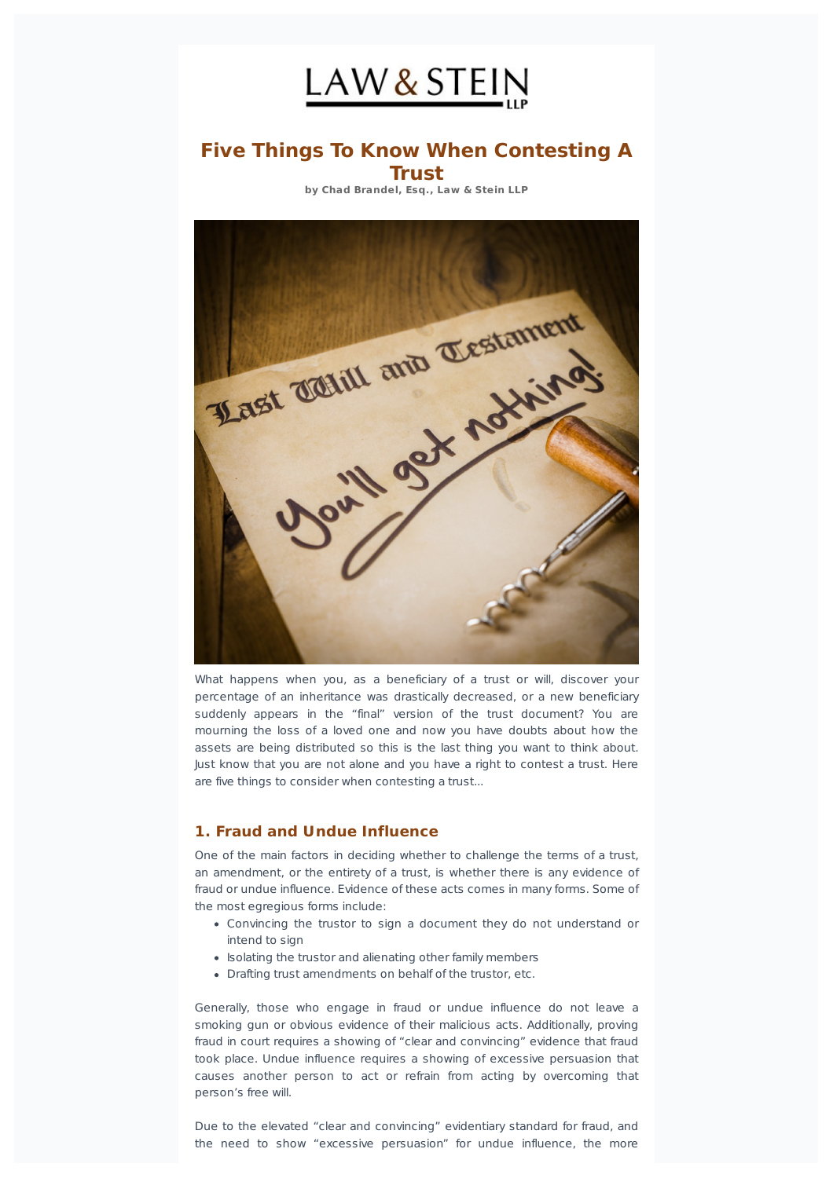

# **Five Things To Know When Contesting A Trust**

**by Chad Brandel, Esq., Law & Stein LLP**



What happens when you, as a beneficiary of a trust or will, discover your percentage of an inheritance was drastically decreased, or a new beneficiary suddenly appears in the "final" version of the trust document? You are mourning the loss of a loved one and now you have doubts about how the assets are being distributed so this is the last thing you want to think about. Just know that you are not alone and you have a right to contest a trust. Here are five things to consider when contesting a trust...

# **1. Fraud and Undue Influence**

One of the main factors in deciding whether to challenge the terms of a trust, an amendment, or the entirety of a trust, is whether there is any evidence of fraud or undue influence. Evidence of these acts comes in many forms. Some of the most egregious forms include:

- Convincing the trustor to sign a document they do not understand or intend to sign
- Isolating the trustor and alienating other family members
- Drafting trust amendments on behalf of the trustor, etc.

Generally, those who engage in fraud or undue influence do not leave a smoking gun or obvious evidence of their malicious acts. Additionally, proving fraud in court requires a showing of "clear and convincing" evidence that fraud took place. Undue influence requires a showing of excessive persuasion that causes another person to act or refrain from acting by overcoming that person's free will.

Due to the elevated "clear and convincing" evidentiary standard for fraud, and the need to show "excessive persuasion" for undue influence, the more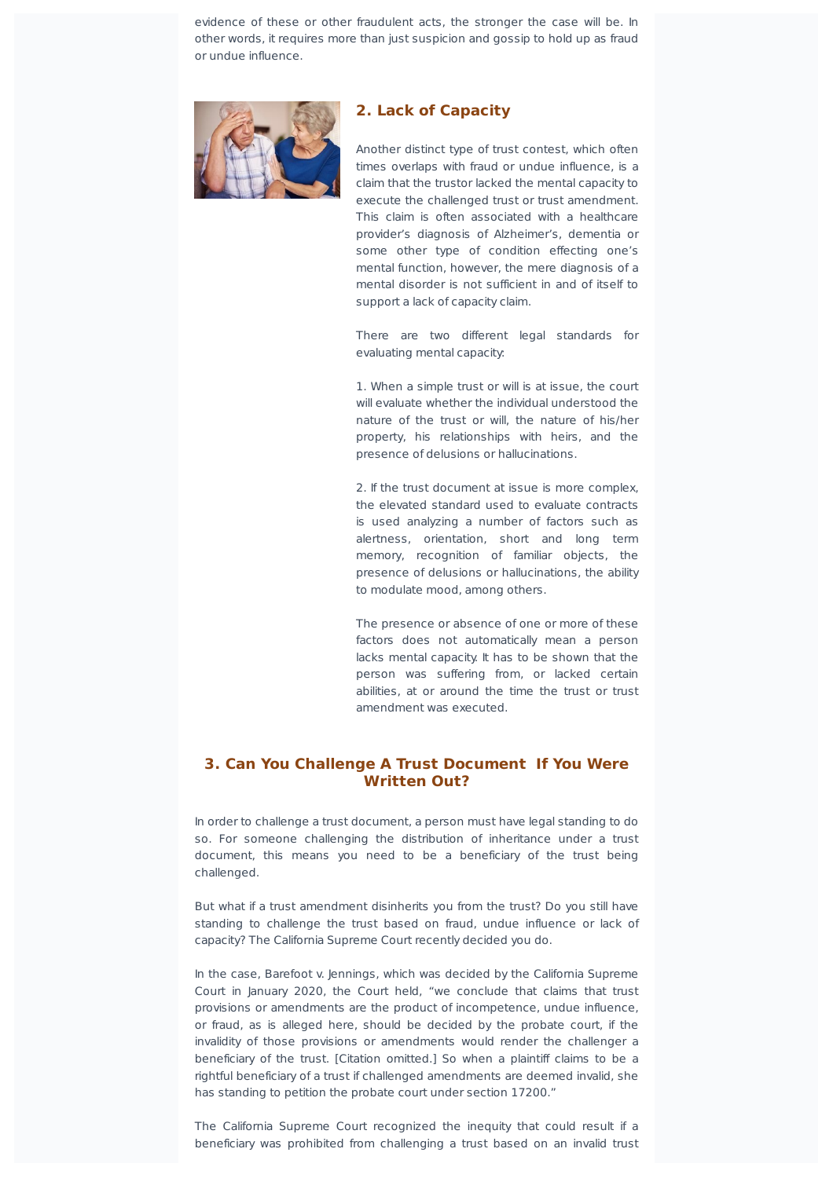evidence of these or other fraudulent acts, the stronger the case will be. In other words, it requires more than just suspicion and gossip to hold up as fraud or undue influence.



#### **2. Lack of Capacity**

Another distinct type of trust contest, which often times overlaps with fraud or undue influence, is a claim that the trustor lacked the mental capacity to execute the challenged trust or trust amendment. This claim is often associated with a healthcare provider's diagnosis of Alzheimer's, dementia or some other type of condition effecting one's mental function, however, the mere diagnosis of a mental disorder is not sufficient in and of itself to support a lack of capacity claim.

There are two different legal standards for evaluating mental capacity:

1. When a simple trust or will is at issue, the court will evaluate whether the individual understood the nature of the trust or will, the nature of his/her property, his relationships with heirs, and the presence of delusions or hallucinations.

2. If the trust document at issue is more complex, the elevated standard used to evaluate contracts is used analyzing a number of factors such as alertness, orientation, short and long term memory, recognition of familiar objects, the presence of delusions or hallucinations, the ability to modulate mood, among others.

The presence or absence of one or more of these factors does not automatically mean a person lacks mental capacity. It has to be shown that the person was suffering from, or lacked certain abilities, at or around the time the trust or trust amendment was executed.

## **3. Can You Challenge A Trust Document If You Were Written Out?**

In order to challenge a trust document, a person must have legal standing to do so. For someone challenging the distribution of inheritance under a trust document, this means you need to be a beneficiary of the trust being challenged.

But what if a trust amendment disinherits you from the trust? Do you still have standing to challenge the trust based on fraud, undue influence or lack of capacity? The California Supreme Court recently decided you do.

In the case, Barefoot v. Jennings, which was decided by the California Supreme Court in January 2020, the Court held, "we conclude that claims that trust provisions or amendments are the product of incompetence, undue influence, or fraud, as is alleged here, should be decided by the probate court, if the invalidity of those provisions or amendments would render the challenger a beneficiary of the trust. [Citation omitted.] So when a plaintiff claims to be a rightful beneficiary of a trust if challenged amendments are deemed invalid, she has standing to petition the probate court under section 17200."

The California Supreme Court recognized the inequity that could result if a beneficiary was prohibited from challenging a trust based on an invalid trust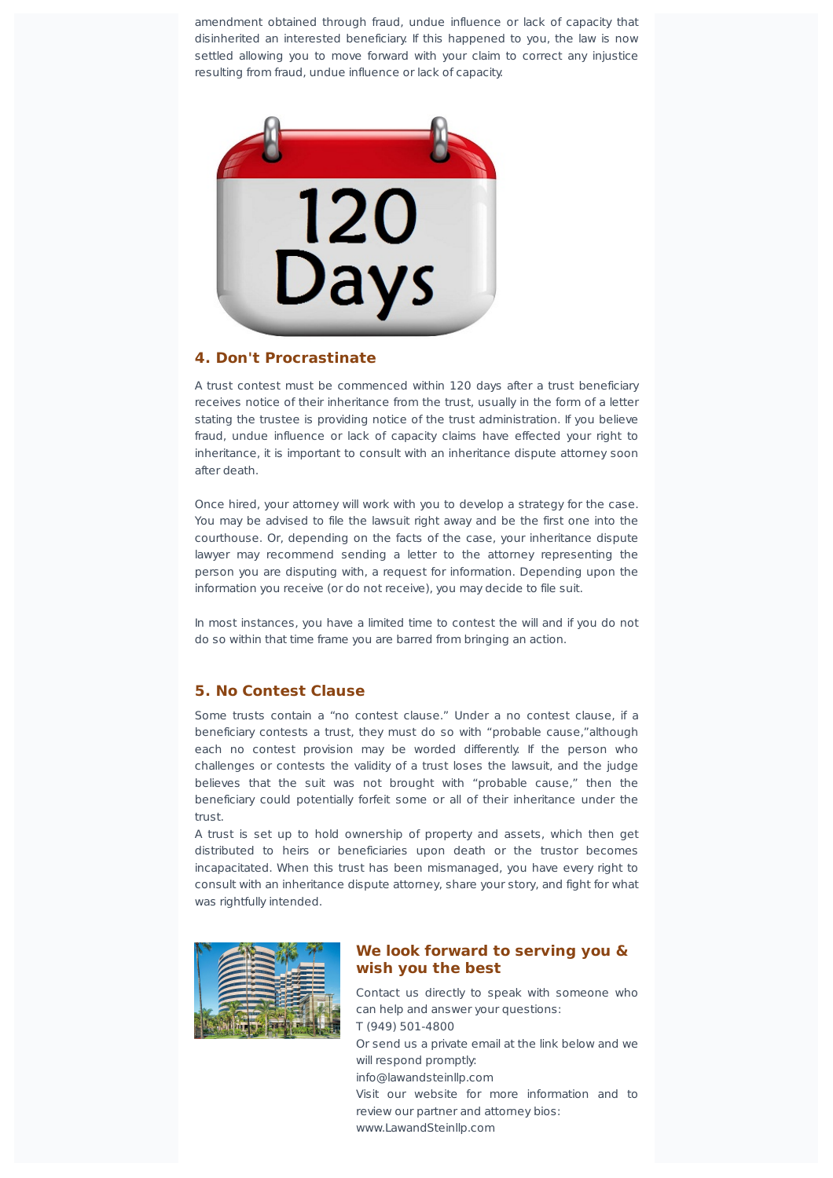amendment obtained through fraud, undue influence or lack of capacity that disinherited an interested beneficiary. If this happened to you, the law is now settled allowing you to move forward with your claim to correct any injustice resulting from fraud, undue influence or lack of capacity.



## **4. Don't Procrastinate**

A trust contest must be commenced within 120 days after a trust beneficiary receives notice of their inheritance from the trust, usually in the form of a letter stating the trustee is providing notice of the trust administration. If you believe fraud, undue influence or lack of capacity claims have effected your right to inheritance, it is important to consult with an inheritance dispute attorney soon after death.

Once hired, your attorney will work with you to develop a strategy for the case. You may be advised to file the lawsuit right away and be the first one into the courthouse. Or, depending on the facts of the case, your inheritance dispute lawyer may recommend sending a letter to the attorney representing the person you are disputing with, a request for information. Depending upon the information you receive (or do not receive), you may decide to file suit.

In most instances, you have a limited time to contest the will and if you do not do so within that time frame you are barred from bringing an action.

#### **5. No Contest Clause**

Some trusts contain a "no contest clause." Under a no contest clause, if a beneficiary contests a trust, they must do so with "probable cause,"although each no contest provision may be worded differently. If the person who challenges or contests the validity of a trust loses the lawsuit, and the judge believes that the suit was not brought with "probable cause," then the beneficiary could potentially forfeit some or all of their inheritance under the trust.

A trust is set up to hold ownership of property and assets, which then get distributed to heirs or beneficiaries upon death or the trustor becomes incapacitated. When this trust has been mismanaged, you have every right to consult with an inheritance dispute attorney, share your story, and fight for what was rightfully intended.



#### **We look forward to serving you & wish you the best**

Contact us directly to speak with someone who can help and answer your questions: T (949) 501-4800 Or send us a private email at the link below and we will respond promptly: info@lawandsteinllp.com Visit our website for more information and to review our partner and attorney bios: www.LawandSteinllp.com